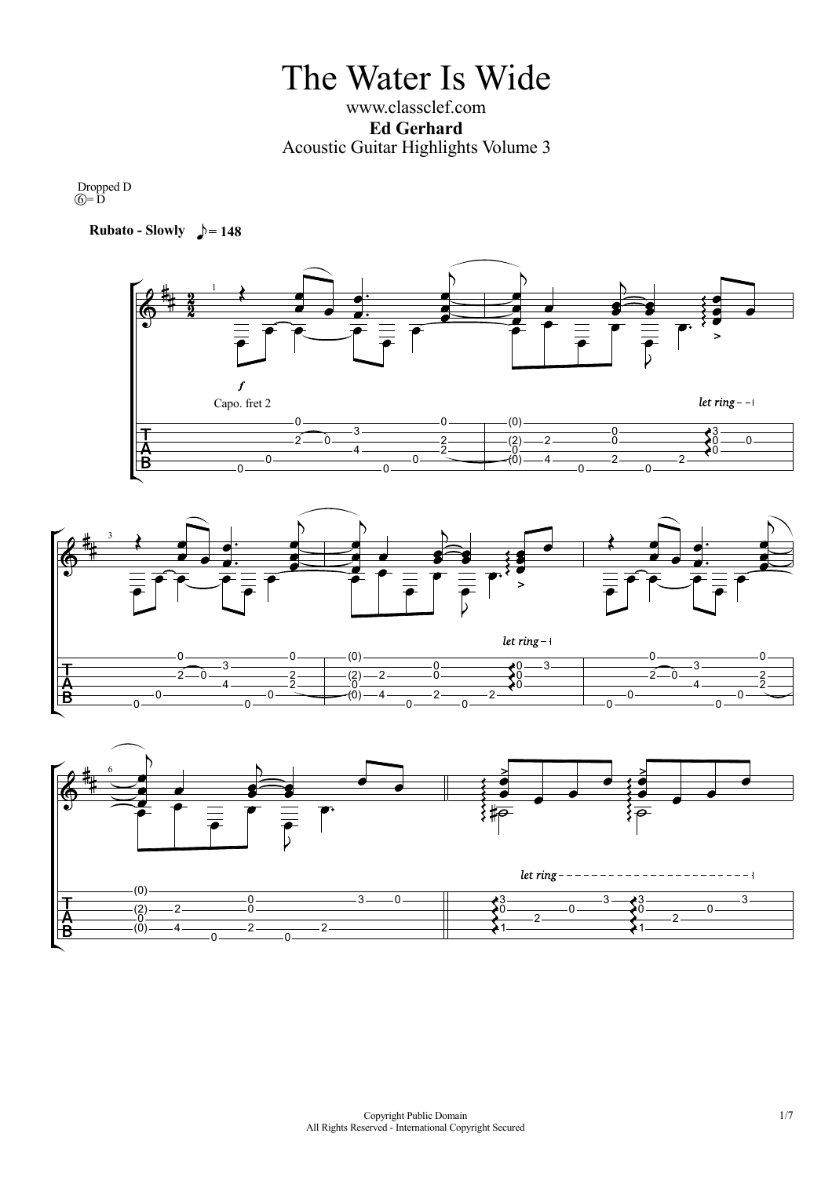## The Water Is Wide

www.classclef.com **Ed Gerhard** Acoustic Guitar Highlights Volume 3

Dropped D  $\widehat{O} = \overline{D}$ 

**Rubato - Slowly**  $\geq 148$ 





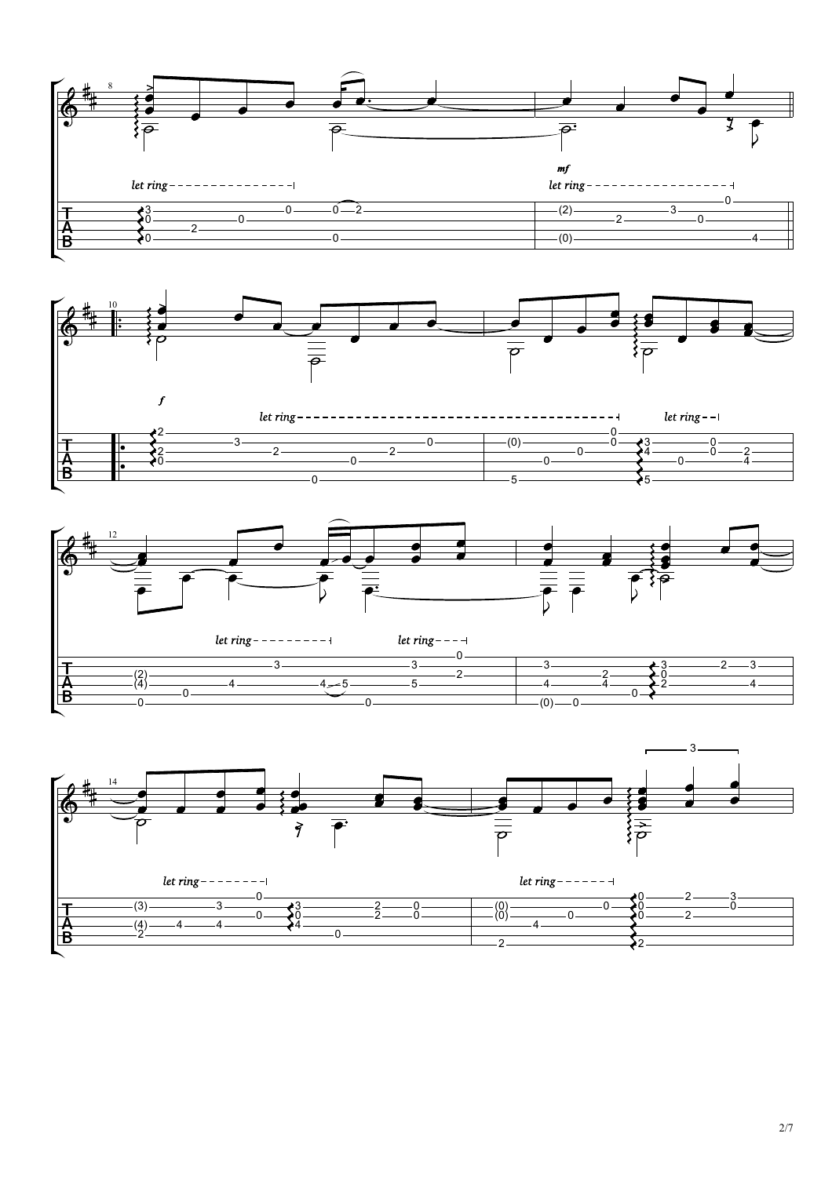





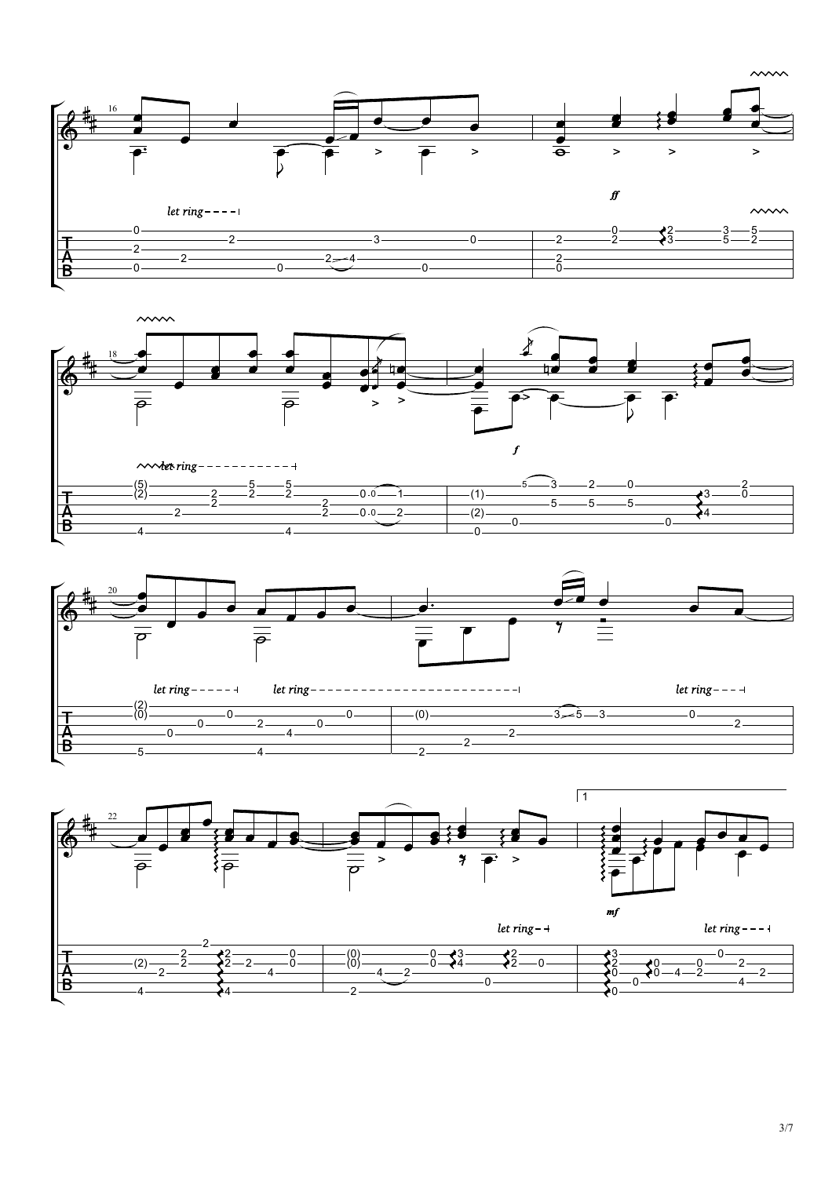

 $\sim$ 







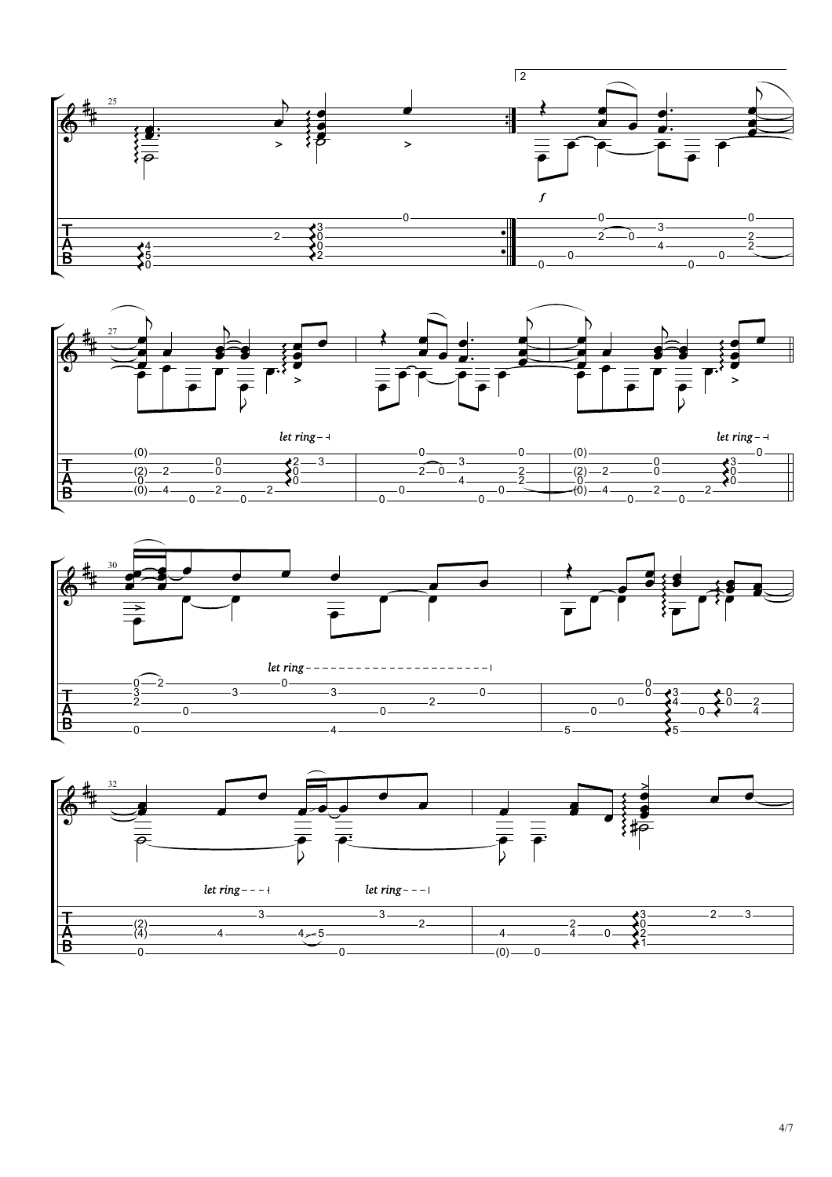





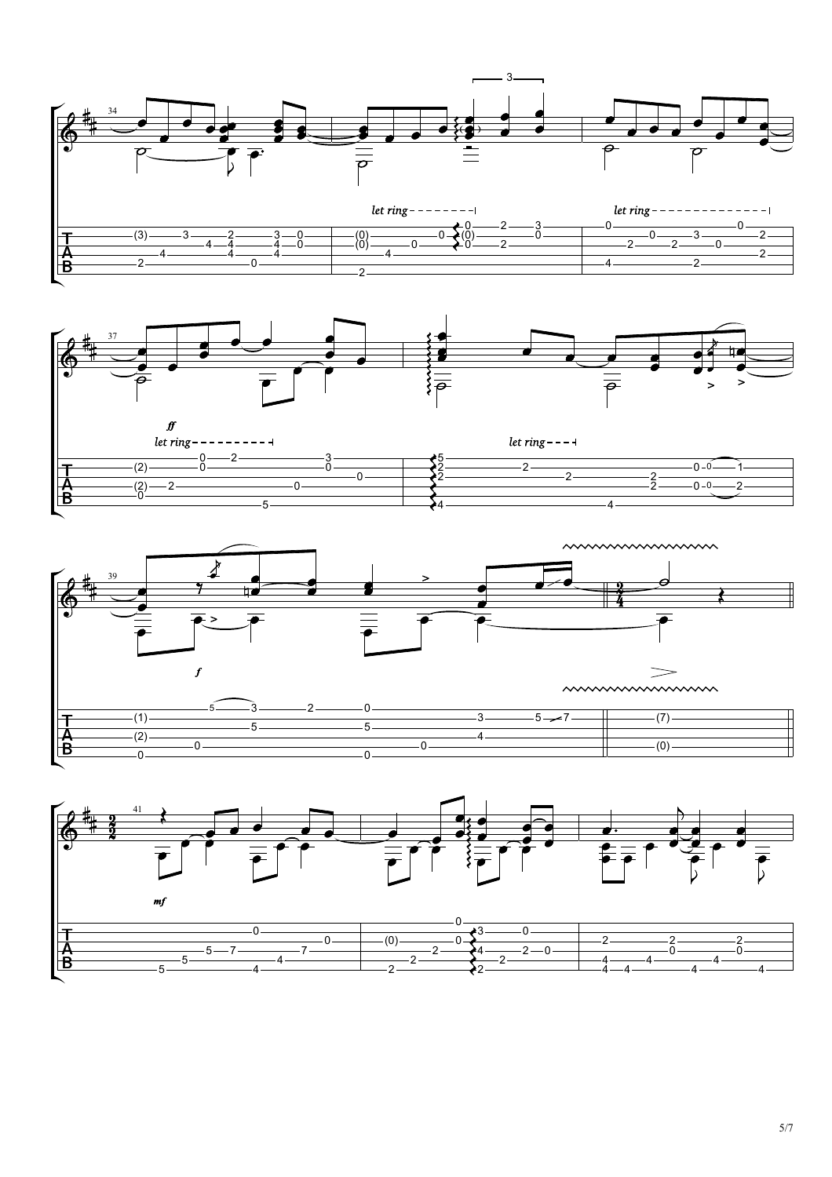







5/7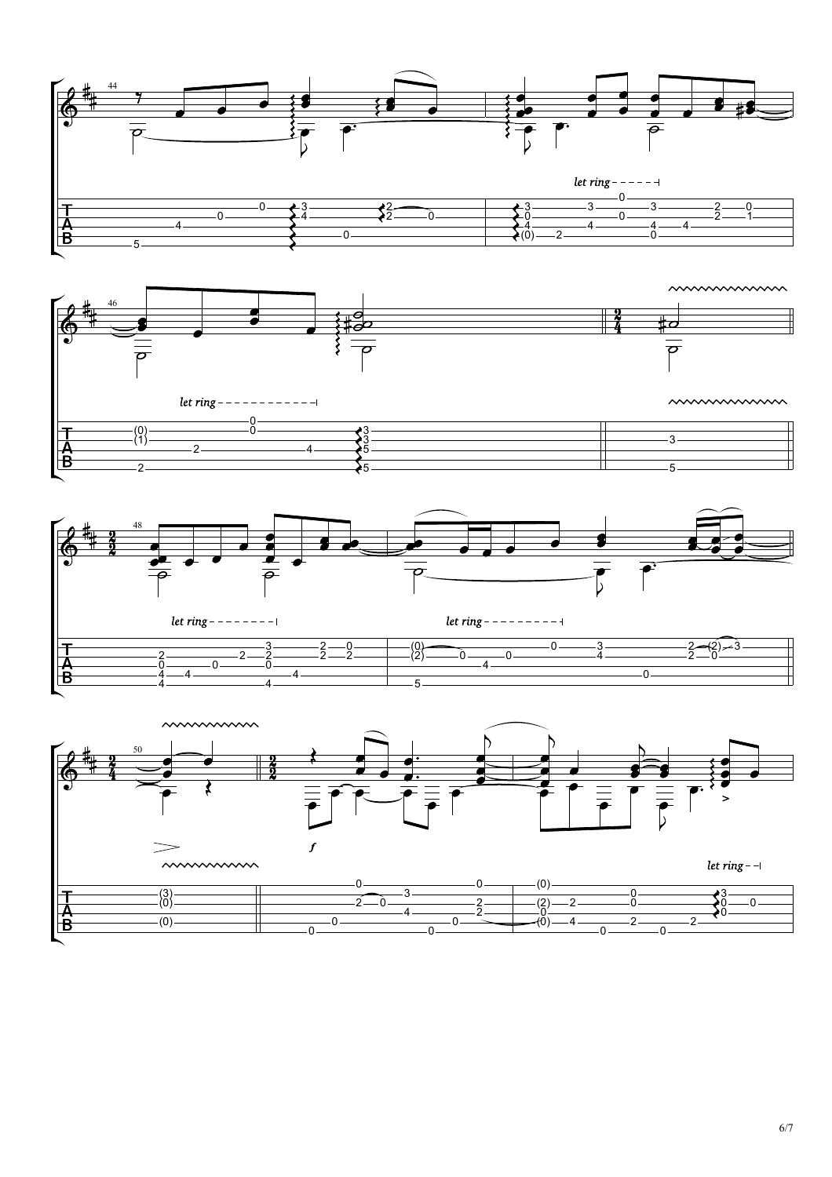





 $\ddot{4}$   $\frac{1}{2}$   $\frac{1}{2}$   $\frac{1}{2}$   $\frac{1}{2}$   $\frac{1}{2}$   $\frac{1}{2}$   $\frac{1}{2}$   $\frac{1}{2}$   $\frac{1}{2}$   $\frac{1}{2}$   $\frac{1}{2}$   $\frac{1}{2}$   $\frac{1}{2}$   $\frac{1}{2}$   $\frac{1}{2}$   $\frac{1}{2}$   $\frac{1}{2}$   $\frac{1}{2}$   $\frac{1}{2}$   $\frac{1}{2}$   $\frac{1}{2}$   $\$